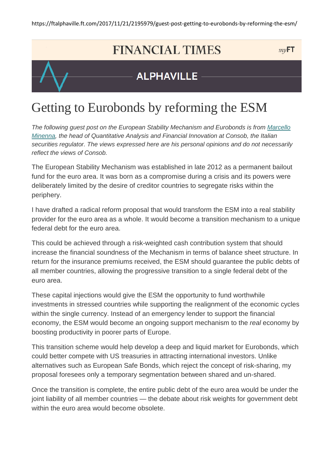## **FINANCIAL TIMES**

 $myFT$ 



### **ALPHAVILLE**

# Getting to Eurobonds by reforming the ESM

The following guest post on the European Stability Mechanism and Eurobonds is from Marcello Minenna, the head of Quantitative Analysis and Financial Innovation at Consob, the Italian securities regulator. The views expressed here are his personal opinions and do not necessarily reflect the views of Consob.

The European Stability Mechanism was established in late 2012 as a permanent bailout fund for the euro area. It was born as a compromise during a crisis and its powers were deliberately limited by the desire of creditor countries to segregate risks within the periphery.

I have drafted a radical reform proposal that would transform the ESM into a real stability provider for the euro area as a whole. It would become a transition mechanism to a unique federal debt for the euro area.

This could be achieved through a risk-weighted cash contribution system that should increase the financial soundness of the Mechanism in terms of balance sheet structure. In return for the insurance premiums received, the ESM should guarantee the public debts of all member countries, allowing the progressive transition to a single federal debt of the euro area.

These capital injections would give the ESM the opportunity to fund worthwhile investments in stressed countries while supporting the realignment of the economic cycles within the single currency. Instead of an emergency lender to support the financial economy, the ESM would become an ongoing support mechanism to the real economy by boosting productivity in poorer parts of Europe.

This transition scheme would help develop a deep and liquid market for Eurobonds, which could better compete with US treasuries in attracting international investors. Unlike alternatives such as European Safe Bonds, which reject the concept of risk-sharing, my proposal foresees only a temporary segmentation between shared and un-shared.

Once the transition is complete, the entire public debt of the euro area would be under the joint liability of all member countries — the debate about risk weights for government debt within the euro area would become obsolete.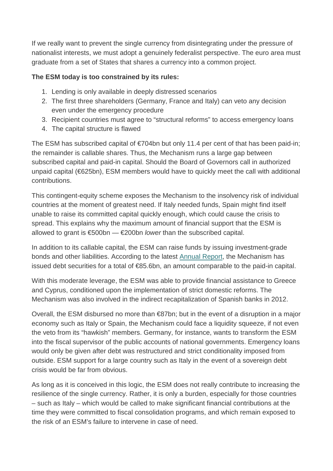If we really want to prevent the single currency from disintegrating under the pressure of nationalist interests, we must adopt a genuinely federalist perspective. The euro area must graduate from a set of States that shares a currency into a common project.

#### **The ESM today is too constrained by its rules:**

- 1. Lending is only available in deeply distressed scenarios
- 2. The first three shareholders (Germany, France and Italy) can veto any decision even under the emergency procedure
- 3. Recipient countries must agree to "structural reforms" to access emergency loans
- 4. The capital structure is flawed

The ESM has subscribed capital of  $\epsilon$ 704bn but only 11.4 per cent of that has been paid-in; the remainder is callable shares. Thus, the Mechanism runs a large gap between subscribed capital and paid-in capital. Should the Board of Governors call in authorized unpaid capital (€625bn), ESM members would have to quickly meet the call with additional contributions.

This contingent-equity scheme exposes the Mechanism to the insolvency risk of individual countries at the moment of greatest need. If Italy needed funds, Spain might find itself unable to raise its committed capital quickly enough, which could cause the crisis to spread. This explains why the maximum amount of financial support that the ESM is allowed to grant is €500bn —  $€200$ bn *lower* than the subscribed capital.

In addition to its callable capital, the ESM can raise funds by issuing investment-grade bonds and other liabilities. According to the latest **Annual Report**, the Mechanism has issued debt securities for a total of €85.6bn, an amount comparable to the paid-in capital.

With this moderate leverage, the ESM was able to provide financial assistance to Greece and Cyprus, conditioned upon the implementation of strict domestic reforms. The Mechanism was also involved in the indirect recapitalization of Spanish banks in 2012.

Overall, the ESM disbursed no more than €87bn; but in the event of a disruption in a major economy such as Italy or Spain, the Mechanism could face a liquidity squeeze, if not even the veto from its "hawkish" members. Germany, for instance, wants to transform the ESM into the fiscal supervisor of the public accounts of national governments. Emergency loans would only be given after debt was restructured and strict conditionality imposed from outside. ESM support for a large country such as Italy in the event of a sovereign debt crisis would be far from obvious.

As long as it is conceived in this logic, the ESM does not really contribute to increasing the resilience of the single currency. Rather, it is only a burden, especially for those countries – such as Italy – which would be called to make significant financial contributions at the time they were committed to fiscal consolidation programs, and which remain exposed to the risk of an ESM's failure to intervene in case of need.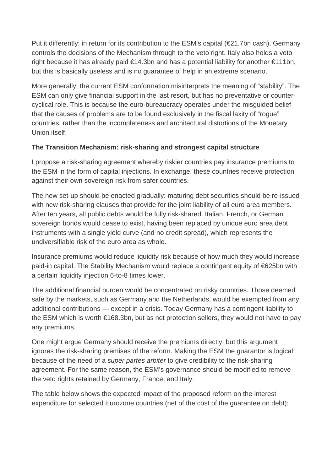Put it differently: in return for its contribution to the ESM's capital (€21.7bn cash), Germany controls the decisions of the Mechanism through to the veto right. Italy also holds a veto right because it has already paid €14.3bn and has a potential liability for another €111bn, but this is basically useless and is no guarantee of help in an extreme scenario.

More generally, the current ESM conformation misinterprets the meaning of "stability". The ESM can only give financial support in the last resort, but has no preventative or countercyclical role. This is because the euro-bureaucracy operates under the misguided belief that the causes of problems are to be found exclusively in the fiscal laxity of "rogue" countries, rather than the incompleteness and architectural distortions of the Monetary Union itself.

#### **The Transition Mechanism: risk-sharing and strongest capital structure**

I propose a risk-sharing agreement whereby riskier countries pay insurance premiums to the ESM in the form of capital injections. In exchange, these countries receive protection against their own sovereign risk from safer countries.

The new set-up should be enacted gradually: maturing debt securities should be re-issued with new risk-sharing clauses that provide for the joint liability of all euro area members. After ten years, all public debts would be fully risk-shared. Italian, French, or German sovereign bonds would cease to exist, having been replaced by unique euro area debt instruments with a single yield curve (and no credit spread), which represents the undiversifiable risk of the euro area as whole.

Insurance premiums would reduce liquidity risk because of how much they would increase paid-in capital. The Stability Mechanism would replace a contingent equity of €625bn with a certain liquidity injection 6-to-8 times lower.

The additional financial burden would be concentrated on risky countries. Those deemed safe by the markets, such as Germany and the Netherlands, would be exempted from any additional contributions — except in a crisis. Today Germany has a contingent liability to the ESM which is worth €168.3bn, but as net protection sellers, they would not have to pay any premiums.

One might argue Germany should receive the premiums directly, but this argument ignores the risk-sharing premises of the reform. Making the ESM the guarantor is logical because of the need of a super partes arbiter to give credibility to the risk-sharing agreement. For the same reason, the ESM's governance should be modified to remove the veto rights retained by Germany, France, and Italy.

The table below shows the expected impact of the proposed reform on the interest expenditure for selected Eurozone countries (net of the cost of the guarantee on debt):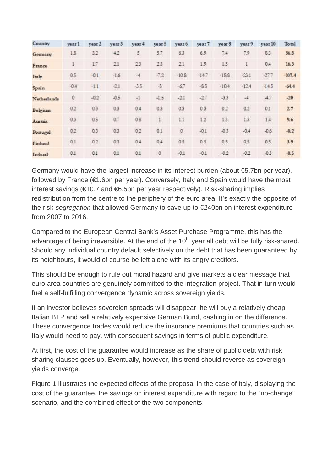| Country     | vear 1       | vear 2 | vear <sub>3</sub> | year 4 | year 5        | year 6  | year 7  | year 8  | year 9  | year 10 | Total    |
|-------------|--------------|--------|-------------------|--------|---------------|---------|---------|---------|---------|---------|----------|
| Gemany      | 1.5          | 32     | 4.2               | 5      | 5.7           | 6.3     | 6.9     | 7.4     | 7.9     | S.3     | 56.8     |
| France      | ı            | L7     | 2.1               | 23     | 2.3           | 2.1     | 1.9     | 1.5     |         | 0.4     | 16.3     |
| Italy       | 0.5          | $-0.1$ | $-1.6$            | $-4$   | $-7.2$        | $-10.8$ | $-14.7$ | $-18.8$ | $-23.1$ | $-27.7$ | $-107.4$ |
| Spain       | $-0.4$       | $-1.1$ | $-2.1$            | $-3.5$ | $\cdot$ 5     | $-6.7$  | $-8.5$  | $-10.4$ | $-12.4$ | $-14.5$ | $-64.4$  |
| Netherlands | $\mathbb{O}$ | $-0.2$ | $-0.5$            | $-1$   | $-1.5$        | $-21$   | $-27$   | $-3.3$  | $-4$    | 4.7     | $-20$    |
| Belgium     | 0.2          | 0.3    | 0,3               | 0.4    | 0.3           | 0.3     | 0,3     | 0.2     | 0.2     | 0.1     | 27       |
| Austria     | 0.3          | 0.5    | 0.7               | 0.8    | $\mathbbm{1}$ | 1.1     | 1.2     | 1.3     | 1.3     | 1.4     | 9.6      |
| Portugal    | 0.2          | 0.3    | 0.3               | 0.2    | 0.1           | $\circ$ | $-0.1$  | $-0.3$  | $-0.4$  | $-0.6$  | $-0.2$   |
| Finland     | 0.1          | 0.2    | 0.3               | 0.4    | 0.4           | 0.5     | 0.5     | 0.5     | 0.5     | 0.5     | 3.9      |
| Ireland     | 0.1          | 0.1    | 0.1               | 0.1    | $\bf 0$       | $-0.1$  | $-0.1$  | $-0.2$  | $-0.2$  | $-0.3$  | $-0.5$   |

Germany would have the largest increase in its interest burden (about €5.7bn per year), followed by France (€1.6bn per year). Conversely, Italy and Spain would have the most interest savings ( $\epsilon$ 10.7 and  $\epsilon$ 6.5bn per year respectively). Risk-sharing implies redistribution from the centre to the periphery of the euro area. It's exactly the opposite of the risk-segregation that allowed Germany to save up to €240bn on interest expenditure from 2007 to 2016.

Compared to the European Central Bank's Asset Purchase Programme, this has the advantage of being irreversible. At the end of the  $10<sup>th</sup>$  year all debt will be fully risk-shared. Should any individual country default selectively on the debt that has been guaranteed by its neighbours, it would of course be left alone with its angry creditors.

This should be enough to rule out moral hazard and give markets a clear message that euro area countries are genuinely committed to the integration project. That in turn would fuel a self-fulfilling convergence dynamic across sovereign yields.

If an investor believes sovereign spreads will disappear, he will buy a relatively cheap Italian BTP and sell a relatively expensive German Bund, cashing in on the difference. These convergence trades would reduce the insurance premiums that countries such as Italy would need to pay, with consequent savings in terms of public expenditure.

At first, the cost of the guarantee would increase as the share of public debt with risk sharing clauses goes up. Eventually, however, this trend should reverse as sovereign yields converge.

Figure 1 illustrates the expected effects of the proposal in the case of Italy, displaying the cost of the guarantee, the savings on interest expenditure with regard to the "no-change" scenario, and the combined effect of the two components: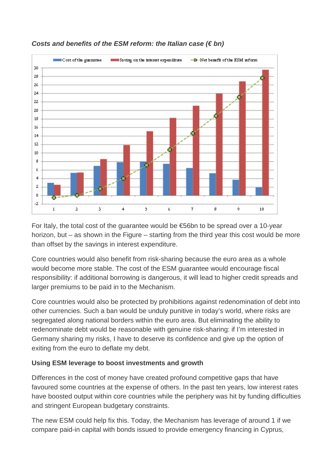

#### **Costs and benefits of the ESM reform: the Italian case (€ bn)**

For Italy, the total cost of the guarantee would be €56bn to be spread over a 10-year horizon, but – as shown in the Figure – starting from the third year this cost would be more than offset by the savings in interest expenditure.

Core countries would also benefit from risk-sharing because the euro area as a whole would become more stable. The cost of the ESM guarantee would encourage fiscal responsibility: if additional borrowing is dangerous, it will lead to higher credit spreads and larger premiums to be paid in to the Mechanism.

Core countries would also be protected by prohibitions against redenomination of debt into other currencies. Such a ban would be unduly punitive in today's world, where risks are segregated along national borders within the euro area. But eliminating the ability to redenominate debt would be reasonable with genuine risk-sharing: if I'm interested in Germany sharing my risks, I have to deserve its confidence and give up the option of exiting from the euro to deflate my debt.

#### **Using ESM leverage to boost investments and growth**

Differences in the cost of money have created profound competitive gaps that have favoured some countries at the expense of others. In the past ten years, low interest rates have boosted output within core countries while the periphery was hit by funding difficulties and stringent European budgetary constraints.

The new ESM could help fix this. Today, the Mechanism has leverage of around 1 if we compare paid-in capital with bonds issued to provide emergency financing in Cyprus,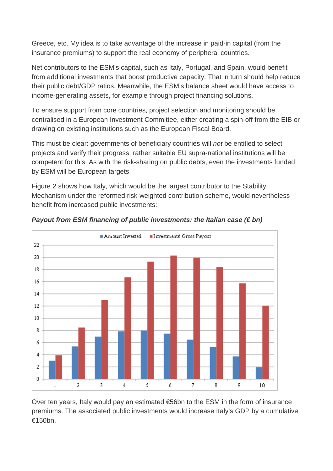Greece, etc. My idea is to take advantage of the increase in paid-in capital (from the insurance premiums) to support the real economy of peripheral countries.

Net contributors to the ESM's capital, such as Italy, Portugal, and Spain, would benefit from additional investments that boost productive capacity. That in turn should help reduce their public debt/GDP ratios. Meanwhile, the ESM's balance sheet would have access to income-generating assets, for example through project financing solutions.

To ensure support from core countries, project selection and monitoring should be centralised in a European Investment Committee, either creating a spin-off from the EIB or drawing on existing institutions such as the European Fiscal Board.

This must be clear: governments of beneficiary countries will not be entitled to select projects and verify their progress; rather suitable EU supra-national institutions will be competent for this. As with the risk-sharing on public debts, even the investments funded by ESM will be European targets.

Figure 2 shows how Italy, which would be the largest contributor to the Stability Mechanism under the reformed risk-weighted contribution scheme, would nevertheless benefit from increased public investments:



#### **Payout from ESM financing of public investments: the Italian case (€ bn)**

Over ten years, Italy would pay an estimated €56bn to the ESM in the form of insurance premiums. The associated public investments would increase Italy's GDP by a cumulative €150bn.